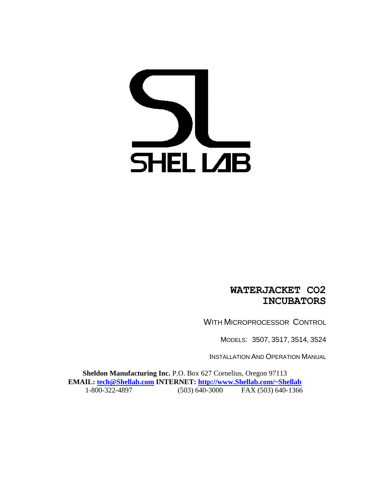# **SHELLAB**

#### **WATERJACKET CO2 INCUBATORS**

WITH MICROPROCESSOR CONTROL

MODELS: 3507, 3517, 3514, 3524

INSTALLATION AND OPERATION MANUAL

**Sheldon Manufacturing Inc.** P.O. Box 627 Cornelius, Oregon 97113 **EMAIL: [tech@Shellab.com](mailto:tech@Shellab.com) INTERNET: [http://www.Shellab.com/~Shellab](http://www.shellab.com/~Shellab)** 1-800-322-4897 (503) 640-3000 FAX (503) 640-1366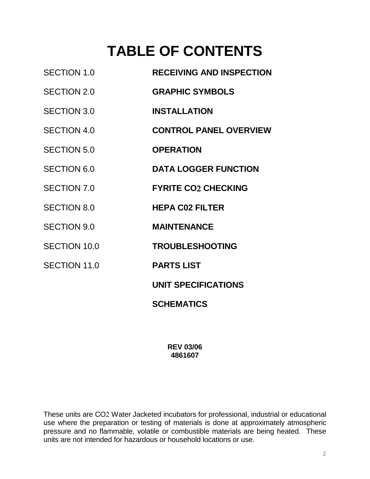### **TABLE OF CONTENTS**

| <b>RECEIVING AND INSPECTION</b> |
|---------------------------------|
| <b>GRAPHIC SYMBOLS</b>          |
| <b>INSTALLATION</b>             |
| <b>CONTROL PANEL OVERVIEW</b>   |
| <b>OPERATION</b>                |
| <b>DATA LOGGER FUNCTION</b>     |
| <b>FYRITE CO2 CHECKING</b>      |
| <b>HEPA C02 FILTER</b>          |
| <b>MAINTENANCE</b>              |
| <b>TROUBLESHOOTING</b>          |
| <b>PARTS LIST</b>               |
| <b>UNIT SPECIFICATIONS</b>      |
| <b>SCHEMATICS</b>               |
|                                 |

**REV 03/06 4861607**

These units are CO2 Water Jacketed incubators for professional, industrial or educational use where the preparation or testing of materials is done at approximately atmospheric pressure and no flammable, volatile or combustible materials are being heated. These units are not intended for hazardous or household locations or use.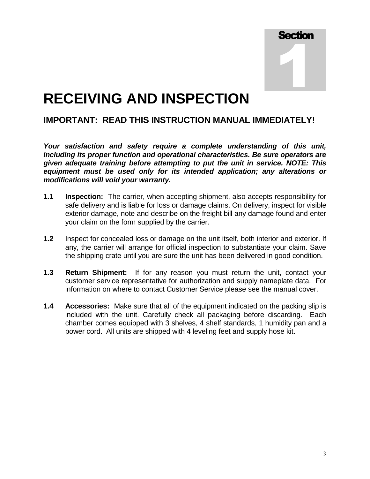**Section** 1

### **RECEIVING AND INSPECTION**

#### **IMPORTANT: READ THIS INSTRUCTION MANUAL IMMEDIATELY!**

*Your satisfaction and safety require a complete understanding of this unit, including its proper function and operational characteristics. Be sure operators are given adequate training before attempting to put the unit in service. NOTE: This equipment must be used only for its intended application; any alterations or modifications will void your warranty.*

- **1.1 Inspection:** The carrier, when accepting shipment, also accepts responsibility for safe delivery and is liable for loss or damage claims. On delivery, inspect for visible exterior damage, note and describe on the freight bill any damage found and enter your claim on the form supplied by the carrier.
- **1.2** Inspect for concealed loss or damage on the unit itself, both interior and exterior. If any, the carrier will arrange for official inspection to substantiate your claim. Save the shipping crate until you are sure the unit has been delivered in good condition.
- **1.3 Return Shipment:** If for any reason you must return the unit, contact your customer service representative for authorization and supply nameplate data. For information on where to contact Customer Service please see the manual cover.
- **1.4 Accessories:** Make sure that all of the equipment indicated on the packing slip is included with the unit. Carefully check all packaging before discarding. Each chamber comes equipped with 3 shelves, 4 shelf standards, 1 humidity pan and a power cord. All units are shipped with 4 leveling feet and supply hose kit.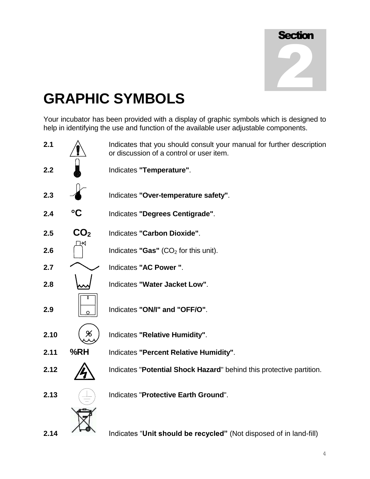| <b>Section</b> |  |
|----------------|--|
|                |  |
|                |  |
|                |  |

### **GRAPHIC SYMBOLS**

Your incubator has been provided with a display of graphic symbols which is designed to help in identifying the use and function of the available user adjustable components.

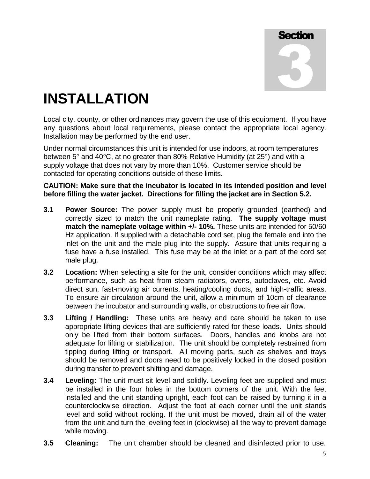**Section** 3

### **INSTALLATION**

Local city, county, or other ordinances may govern the use of this equipment. If you have any questions about local requirements, please contact the appropriate local agency. Installation may be performed by the end user.

Under normal circumstances this unit is intended for use indoors, at room temperatures between  $5^{\circ}$  and  $40^{\circ}$ C, at no greater than 80% Relative Humidity (at  $25^{\circ}$ ) and with a supply voltage that does not vary by more than 10%. Customer service should be contacted for operating conditions outside of these limits.

#### **CAUTION: Make sure that the incubator is located in its intended position and level before filling the water jacket. Directions for filling the jacket are in Section 5.2.**

- **3.1 Power Source:** The power supply must be properly grounded (earthed) and correctly sized to match the unit nameplate rating. **The supply voltage must match the nameplate voltage within +/- 10%.** These units are intended for 50/60 Hz application. If supplied with a detachable cord set, plug the female end into the inlet on the unit and the male plug into the supply. Assure that units requiring a fuse have a fuse installed. This fuse may be at the inlet or a part of the cord set male plug.
- **3.2 Location:** When selecting a site for the unit, consider conditions which may affect performance, such as heat from steam radiators, ovens, autoclaves, etc. Avoid direct sun, fast-moving air currents, heating/cooling ducts, and high-traffic areas. To ensure air circulation around the unit, allow a minimum of 10cm of clearance between the incubator and surrounding walls, or obstructions to free air flow.
- **3.3 Lifting / Handling:** These units are heavy and care should be taken to use appropriate lifting devices that are sufficiently rated for these loads. Units should only be lifted from their bottom surfaces. Doors, handles and knobs are not adequate for lifting or stabilization. The unit should be completely restrained from tipping during lifting or transport. All moving parts, such as shelves and trays should be removed and doors need to be positively locked in the closed position during transfer to prevent shifting and damage.
- **3.4 Leveling:** The unit must sit level and solidly. Leveling feet are supplied and must be installed in the four holes in the bottom corners of the unit. With the feet installed and the unit standing upright, each foot can be raised by turning it in a counterclockwise direction. Adjust the foot at each corner until the unit stands level and solid without rocking. If the unit must be moved, drain all of the water from the unit and turn the leveling feet in (clockwise) all the way to prevent damage while moving.
- **3.5 Cleaning:** The unit chamber should be cleaned and disinfected prior to use.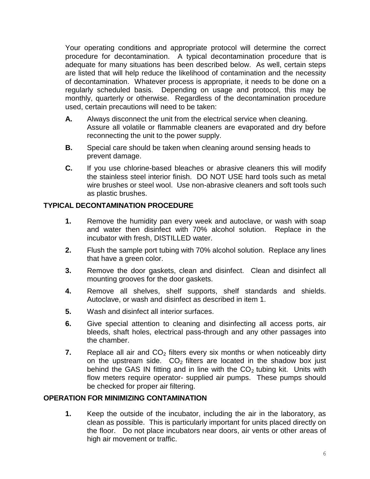Your operating conditions and appropriate protocol will determine the correct procedure for decontamination. A typical decontamination procedure that is adequate for many situations has been described below. As well, certain steps are listed that will help reduce the likelihood of contamination and the necessity of decontamination. Whatever process is appropriate, it needs to be done on a regularly scheduled basis. Depending on usage and protocol, this may be monthly, quarterly or otherwise. Regardless of the decontamination procedure used, certain precautions will need to be taken:

- **A.** Always disconnect the unit from the electrical service when cleaning. Assure all volatile or flammable cleaners are evaporated and dry before reconnecting the unit to the power supply.
- **B.** Special care should be taken when cleaning around sensing heads to prevent damage.
- **C.** If you use chlorine-based bleaches or abrasive cleaners this will modify the stainless steel interior finish. DO NOT USE hard tools such as metal wire brushes or steel wool. Use non-abrasive cleaners and soft tools such as plastic brushes.

#### **TYPICAL DECONTAMINATION PROCEDURE**

- **1.** Remove the humidity pan every week and autoclave, or wash with soap and water then disinfect with 70% alcohol solution. Replace in the incubator with fresh, DISTILLED water.
- **2.** Flush the sample port tubing with 70% alcohol solution. Replace any lines that have a green color.
- **3.** Remove the door gaskets, clean and disinfect. Clean and disinfect all mounting grooves for the door gaskets.
- **4.** Remove all shelves, shelf supports, shelf standards and shields. Autoclave, or wash and disinfect as described in item 1.
- **5.** Wash and disinfect all interior surfaces.
- **6.** Give special attention to cleaning and disinfecting all access ports, air bleeds, shaft holes, electrical pass-through and any other passages into the chamber.
- **7.** Replace all air and  $CO<sub>2</sub>$  filters every six months or when noticeably dirty on the upstream side.  $CO<sub>2</sub>$  filters are located in the shadow box just behind the GAS IN fitting and in line with the  $CO<sub>2</sub>$  tubing kit. Units with flow meters require operator- supplied air pumps. These pumps should be checked for proper air filtering.

#### **OPERATION FOR MINIMIZING CONTAMINATION**

**1.** Keep the outside of the incubator, including the air in the laboratory, as clean as possible. This is particularly important for units placed directly on the floor. Do not place incubators near doors, air vents or other areas of high air movement or traffic.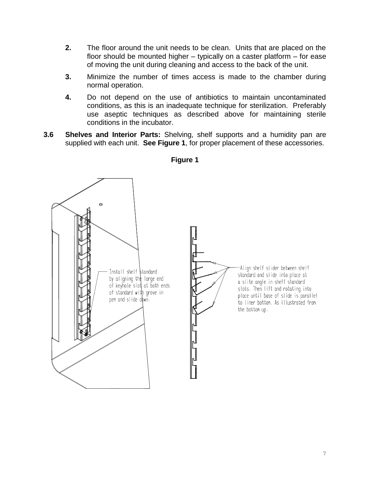- **2.** The floor around the unit needs to be clean. Units that are placed on the floor should be mounted higher – typically on a caster platform – for ease of moving the unit during cleaning and access to the back of the unit.
- **3.** Minimize the number of times access is made to the chamber during normal operation.
- **4.** Do not depend on the use of antibiotics to maintain uncontaminated conditions, as this is an inadequate technique for sterilization. Preferably use aseptic techniques as described above for maintaining sterile conditions in the incubator.
- **3.6 Shelves and Interior Parts:** Shelving, shelf supports and a humidity pan are supplied with each unit. **See Figure 1**, for proper placement of these accessories.



#### **Figure 1**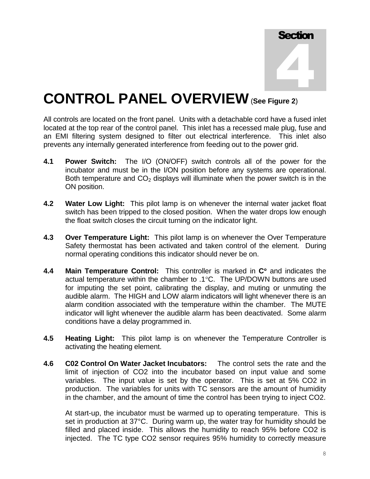![](_page_7_Figure_0.jpeg)

### **CONTROL PANEL OVERVIEW**(**See Figure 2**)

All controls are located on the front panel. Units with a detachable cord have a fused inlet located at the top rear of the control panel. This inlet has a recessed male plug, fuse and an EMI filtering system designed to filter out electrical interference. This inlet also prevents any internally generated interference from feeding out to the power grid.

- **4.1 Power Switch:** The I/O (ON/OFF) switch controls all of the power for the incubator and must be in the I/ON position before any systems are operational. Both temperature and  $CO<sub>2</sub>$  displays will illuminate when the power switch is in the ON position.
- **4.2 Water Low Light:** This pilot lamp is on whenever the internal water jacket float switch has been tripped to the closed position. When the water drops low enough the float switch closes the circuit turning on the indicator light.
- **4.3 Over Temperature Light:** This pilot lamp is on whenever the Over Temperature Safety thermostat has been activated and taken control of the element. During normal operating conditions this indicator should never be on.
- **4.4 Main Temperature Control:** This controller is marked in  $\mathbb{C}^{\circ}$  and indicates the actual temperature within the chamber to .1°C. The UP/DOWN buttons are used for imputing the set point, calibrating the display, and muting or unmuting the audible alarm. The HIGH and LOW alarm indicators will light whenever there is an alarm condition associated with the temperature within the chamber. The MUTE indicator will light whenever the audible alarm has been deactivated. Some alarm conditions have a delay programmed in.
- **4.5 Heating Light:** This pilot lamp is on whenever the Temperature Controller is activating the heating element.
- **4.6 C02 Control On Water Jacket Incubators:** The control sets the rate and the limit of injection of CO2 into the incubator based on input value and some variables. The input value is set by the operator. This is set at 5% CO2 in production. The variables for units with TC sensors are the amount of humidity in the chamber, and the amount of time the control has been trying to inject CO2.

At start-up, the incubator must be warmed up to operating temperature. This is set in production at 37°C. During warm up, the water tray for humidity should be filled and placed inside. This allows the humidity to reach 95% before CO2 is injected. The TC type CO2 sensor requires 95% humidity to correctly measure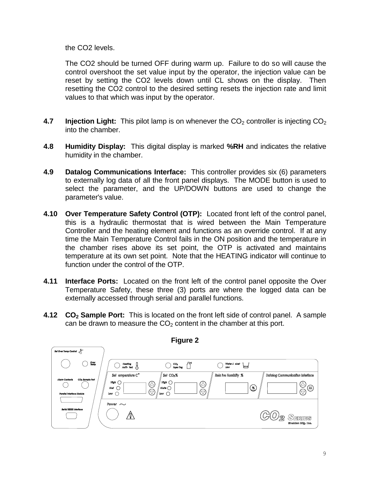the CO2 levels.

The CO2 should be turned OFF during warm up. Failure to do so will cause the control overshoot the set value input by the operator, the injection value can be reset by setting the CO2 levels down until CL shows on the display. Then resetting the CO2 control to the desired setting resets the injection rate and limit values to that which was input by the operator.

- **4.7 Injection Light:** This pilot lamp is on whenever the CO<sub>2</sub> controller is injecting CO<sub>2</sub> into the chamber.
- **4.8 Humidity Display:** This digital display is marked **%RH** and indicates the relative humidity in the chamber.
- **4.9 Datalog Communications Interface:** This controller provides six (6) parameters to externally log data of all the front panel displays. The MODE button is used to select the parameter, and the UP/DOWN buttons are used to change the parameter's value.
- **4.10 Over Temperature Safety Control (OTP):** Located front left of the control panel, this is a hydraulic thermostat that is wired between the Main Temperature Controller and the heating element and functions as an override control. If at any time the Main Temperature Control fails in the ON position and the temperature in the chamber rises above its set point, the OTP is activated and maintains temperature at its own set point. Note that the HEATING indicator will continue to function under the control of the OTP.
- **4.11 Interface Ports:** Located on the front left of the control panel opposite the Over Temperature Safety, these three (3) ports are where the logged data can be externally accessed through serial and parallel functions.
- **4.12 CO<sup>2</sup> Sample Port:** This is located on the front left side of control panel. A sample can be drawn to measure the  $CO<sub>2</sub>$  content in the chamber at this port.

![](_page_8_Figure_8.jpeg)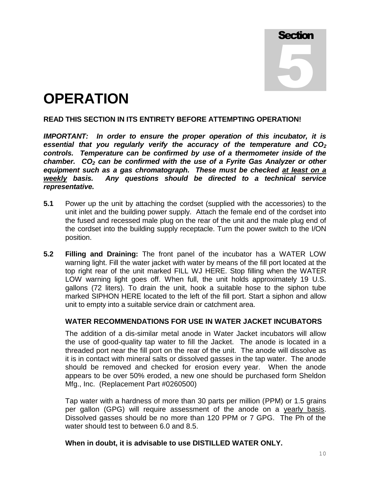**Section** 5

### **OPERATION**

#### **READ THIS SECTION IN ITS ENTIRETY BEFORE ATTEMPTING OPERATION!**

*IMPORTANT: In order to ensure the proper operation of this incubator, it is essential that you regularly verify the accuracy of the temperature and CO<sup>2</sup> controls. Temperature can be confirmed by use of a thermometer inside of the chamber. CO<sup>2</sup> can be confirmed with the use of a Fyrite Gas Analyzer or other equipment such as a gas chromatograph. These must be checked at least on a weekly basis. Any questions should be directed to a technical service representative.* 

- **5.1** Power up the unit by attaching the cordset (supplied with the accessories) to the unit inlet and the building power supply. Attach the female end of the cordset into the fused and recessed male plug on the rear of the unit and the male plug end of the cordset into the building supply receptacle. Turn the power switch to the I/ON position.
- **5.2 Filling and Draining:** The front panel of the incubator has a WATER LOW warning light. Fill the water jacket with water by means of the fill port located at the top right rear of the unit marked FILL WJ HERE. Stop filling when the WATER LOW warning light goes off. When full, the unit holds approximately 19 U.S. gallons (72 liters). To drain the unit, hook a suitable hose to the siphon tube marked SIPHON HERE located to the left of the fill port. Start a siphon and allow unit to empty into a suitable service drain or catchment area.

#### **WATER RECOMMENDATIONS FOR USE IN WATER JACKET INCUBATORS**

The addition of a dis-similar metal anode in Water Jacket incubators will allow the use of good-quality tap water to fill the Jacket. The anode is located in a threaded port near the fill port on the rear of the unit. The anode will dissolve as it is in contact with mineral salts or dissolved gasses in the tap water. The anode should be removed and checked for erosion every year. When the anode appears to be over 50% eroded, a new one should be purchased form Sheldon Mfg., Inc. (Replacement Part #0260500)

Tap water with a hardness of more than 30 parts per million (PPM) or 1.5 grains per gallon (GPG) will require assessment of the anode on a yearly basis. Dissolved gasses should be no more than 120 PPM or 7 GPG. The Ph of the water should test to between 6.0 and 8.5.

#### **When in doubt, it is advisable to use DISTILLED WATER ONLY.**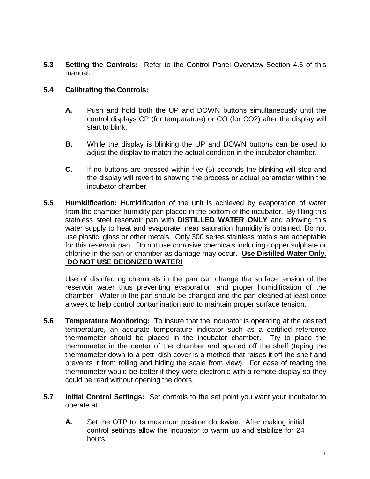**5.3 Setting the Controls:** Refer to the Control Panel Overview Section 4.6 of this manual.

#### **5.4 Calibrating the Controls:**

- **A.** Push and hold both the UP and DOWN buttons simultaneously until the control displays CP (for temperature) or CO (for CO2) after the display will start to blink.
- **B.** While the display is blinking the UP and DOWN buttons can be used to adjust the display to match the actual condition in the incubator chamber.
- **C.** If no buttons are pressed within five (5) seconds the blinking will stop and the display will revert to showing the process or actual parameter within the incubator chamber.
- **5.5 Humidification:** Humidification of the unit is achieved by evaporation of water from the chamber humidity pan placed in the bottom of the incubator. By filling this stainless steel reservoir pan with **DISTILLED WATER ONLY** and allowing this water supply to heat and evaporate, near saturation humidity is obtained. Do not use plastic, glass or other metals. Only 300 series stainless metals are acceptable for this reservoir pan. Do not use corrosive chemicals including copper sulphate or chlorine in the pan or chamber as damage may occur. **Use Distilled Water Only. DO NOT USE DEIONIZED WATER!**

Use of disinfecting chemicals in the pan can change the surface tension of the reservoir water thus preventing evaporation and proper humidification of the chamber. Water in the pan should be changed and the pan cleaned at least once a week to help control contamination and to maintain proper surface tension.

- **5.6 Temperature Monitoring:** To insure that the incubator is operating at the desired temperature, an accurate temperature indicator such as a certified reference thermometer should be placed in the incubator chamber. Try to place the thermometer in the center of the chamber and spaced off the shelf (taping the thermometer down to a petri dish cover is a method that raises it off the shelf and prevents it from rolling and hiding the scale from view). For ease of reading the thermometer would be better if they were electronic with a remote display so they could be read without opening the doors.
- **5.7 Initial Control Settings:** Set controls to the set point you want your incubator to operate at.
	- **A.** Set the OTP to its maximum position clockwise. After making initial control settings allow the incubator to warm up and stabilize for 24 hours.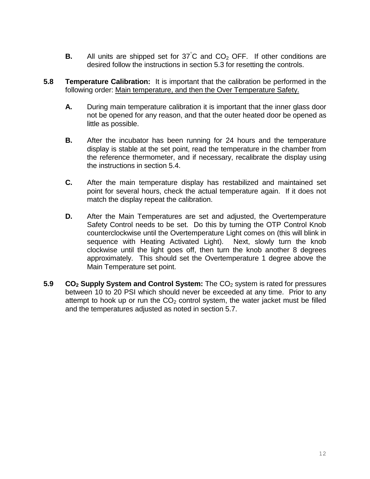- **B.** All units are shipped set for  $37^{\circ}$ C and  $CO_2$  OFF. If other conditions are desired follow the instructions in section 5.3 for resetting the controls.
- **5.8 Temperature Calibration:** It is important that the calibration be performed in the following order: Main temperature, and then the Over Temperature Safety.
	- **A.** During main temperature calibration it is important that the inner glass door not be opened for any reason, and that the outer heated door be opened as little as possible.
	- **B.** After the incubator has been running for 24 hours and the temperature display is stable at the set point, read the temperature in the chamber from the reference thermometer, and if necessary, recalibrate the display using the instructions in section 5.4.
	- **C.** After the main temperature display has restabilized and maintained set point for several hours, check the actual temperature again. If it does not match the display repeat the calibration.
	- **D.** After the Main Temperatures are set and adjusted, the Overtemperature Safety Control needs to be set. Do this by turning the OTP Control Knob counterclockwise until the Overtemperature Light comes on (this will blink in sequence with Heating Activated Light). Next, slowly turn the knob clockwise until the light goes off, then turn the knob another 8 degrees approximately. This should set the Overtemperature 1 degree above the Main Temperature set point.
- **5.9 CO<sub>2</sub> Supply System and Control System:** The CO<sub>2</sub> system is rated for pressures between 10 to 20 PSI which should never be exceeded at any time. Prior to any attempt to hook up or run the  $CO<sub>2</sub>$  control system, the water jacket must be filled and the temperatures adjusted as noted in section 5.7.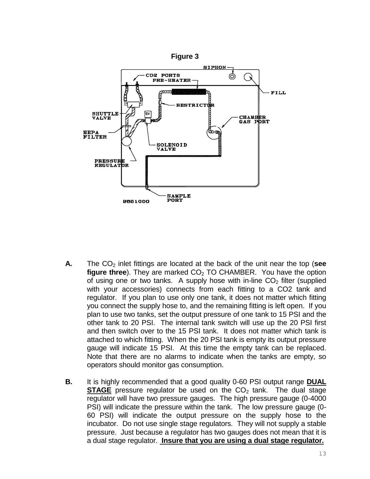![](_page_12_Figure_0.jpeg)

- **A.** The CO<sub>2</sub> inlet fittings are located at the back of the unit near the top (see **figure three**). They are marked CO<sub>2</sub> TO CHAMBER. You have the option of using one or two tanks. A supply hose with in-line  $CO<sub>2</sub>$  filter (supplied with your accessories) connects from each fitting to a CO2 tank and regulator. If you plan to use only one tank, it does not matter which fitting you connect the supply hose to, and the remaining fitting is left open. If you plan to use two tanks, set the output pressure of one tank to 15 PSI and the other tank to 20 PSI. The internal tank switch will use up the 20 PSI first and then switch over to the 15 PSI tank. It does not matter which tank is attached to which fitting. When the 20 PSI tank is empty its output pressure gauge will indicate 15 PSI. At this time the empty tank can be replaced. Note that there are no alarms to indicate when the tanks are empty, so operators should monitor gas consumption.
- **B.** It is highly recommended that a good quality 0-60 PSI output range **DUAL STAGE** pressure regulator be used on the  $CO<sub>2</sub>$  tank. The dual stage regulator will have two pressure gauges. The high pressure gauge (0-4000 PSI) will indicate the pressure within the tank. The low pressure gauge (0- 60 PSI) will indicate the output pressure on the supply hose to the incubator. Do not use single stage regulators. They will not supply a stable pressure. Just because a regulator has two gauges does not mean that it is a dual stage regulator. **Insure that you are using a dual stage regulator.**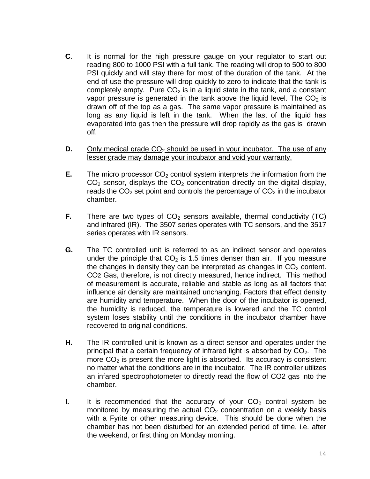- **C**. It is normal for the high pressure gauge on your regulator to start out reading 800 to 1000 PSI with a full tank. The reading will drop to 500 to 800 PSI quickly and will stay there for most of the duration of the tank. At the end of use the pressure will drop quickly to zero to indicate that the tank is completely empty. Pure  $CO<sub>2</sub>$  is in a liquid state in the tank, and a constant vapor pressure is generated in the tank above the liquid level. The  $CO<sub>2</sub>$  is drawn off of the top as a gas. The same vapor pressure is maintained as long as any liquid is left in the tank. When the last of the liquid has evaporated into gas then the pressure will drop rapidly as the gas is drawn off.
- **D.** Only medical grade  $CO<sub>2</sub>$  should be used in your incubator. The use of any lesser grade may damage your incubator and void your warranty.
- **E.** The micro processor  $CO<sub>2</sub>$  control system interprets the information from the  $CO<sub>2</sub>$  sensor, displays the  $CO<sub>2</sub>$  concentration directly on the digital display, reads the  $CO<sub>2</sub>$  set point and controls the percentage of  $CO<sub>2</sub>$  in the incubator chamber.
- **F.** There are two types of  $CO<sub>2</sub>$  sensors available, thermal conductivity (TC) and infrared (IR). The 3507 series operates with TC sensors, and the 3517 series operates with IR sensors.
- **G.** The TC controlled unit is referred to as an indirect sensor and operates under the principle that  $CO<sub>2</sub>$  is 1.5 times denser than air. If you measure the changes in density they can be interpreted as changes in  $CO<sub>2</sub>$  content. CO2 Gas, therefore, is not directly measured, hence indirect. This method of measurement is accurate, reliable and stable as long as all factors that influence air density are maintained unchanging. Factors that effect density are humidity and temperature. When the door of the incubator is opened, the humidity is reduced, the temperature is lowered and the TC control system loses stability until the conditions in the incubator chamber have recovered to original conditions.
- **H.** The IR controlled unit is known as a direct sensor and operates under the principal that a certain frequency of infrared light is absorbed by  $CO<sub>2</sub>$ . The more  $CO<sub>2</sub>$  is present the more light is absorbed. Its accuracy is consistent no matter what the conditions are in the incubator. The IR controller utilizes an infared spectrophotometer to directly read the flow of CO2 gas into the chamber.
- **I.** It is recommended that the accuracy of your  $CO<sub>2</sub>$  control system be monitored by measuring the actual  $CO<sub>2</sub>$  concentration on a weekly basis with a Fyrite or other measuring device. This should be done when the chamber has not been disturbed for an extended period of time, i.e. after the weekend, or first thing on Monday morning.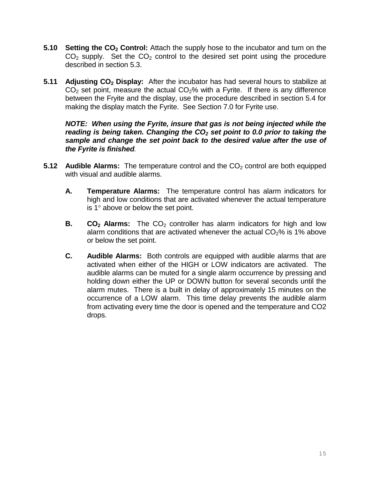- **5.10 Setting the CO<sup>2</sup> Control:** Attach the supply hose to the incubator and turn on the  $CO<sub>2</sub>$  supply. Set the  $CO<sub>2</sub>$  control to the desired set point using the procedure described in section 5.3.
- **5.11 Adjusting CO<sup>2</sup> Display:** After the incubator has had several hours to stabilize at  $CO<sub>2</sub>$  set point, measure the actual  $CO<sub>2</sub>$ % with a Fyrite. If there is any difference between the Fryite and the display, use the procedure described in section 5.4 for making the display match the Fyrite. See Section 7.0 for Fyrite use.

*NOTE: When using the Fyrite, insure that gas is not being injected while the reading is being taken. Changing the CO<sup>2</sup> set point to 0.0 prior to taking the sample and change the set point back to the desired value after the use of the Fyrite is finished.*

- **5.12** Audible Alarms: The temperature control and the CO<sub>2</sub> control are both equipped with visual and audible alarms.
	- **A. Temperature Alarms:** The temperature control has alarm indicators for high and low conditions that are activated whenever the actual temperature is  $1^\circ$  above or below the set point.
	- **B.**  $CO<sub>2</sub>$  **Alarms:** The  $CO<sub>2</sub>$  controller has alarm indicators for high and low alarm conditions that are activated whenever the actual  $CO<sub>2</sub>%$  is 1% above or below the set point.
	- **C. Audible Alarms:** Both controls are equipped with audible alarms that are activated when either of the HIGH or LOW indicators are activated. The audible alarms can be muted for a single alarm occurrence by pressing and holding down either the UP or DOWN button for several seconds until the alarm mutes. There is a built in delay of approximately 15 minutes on the occurrence of a LOW alarm. This time delay prevents the audible alarm from activating every time the door is opened and the temperature and CO2 drops.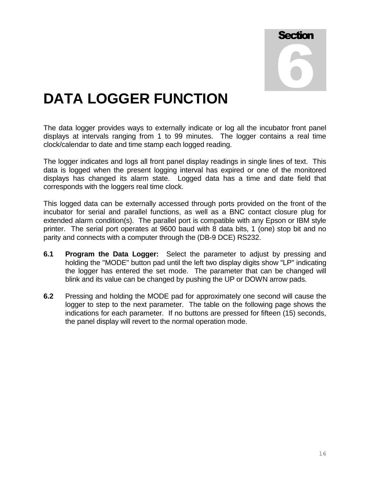![](_page_15_Picture_0.jpeg)

### **DATA LOGGER FUNCTION**

The data logger provides ways to externally indicate or log all the incubator front panel displays at intervals ranging from 1 to 99 minutes. The logger contains a real time clock/calendar to date and time stamp each logged reading.

The logger indicates and logs all front panel display readings in single lines of text. This data is logged when the present logging interval has expired or one of the monitored displays has changed its alarm state. Logged data has a time and date field that corresponds with the loggers real time clock.

This logged data can be externally accessed through ports provided on the front of the incubator for serial and parallel functions, as well as a BNC contact closure plug for extended alarm condition(s). The parallel port is compatible with any Epson or IBM style printer. The serial port operates at 9600 baud with 8 data bits, 1 (one) stop bit and no parity and connects with a computer through the (DB-9 DCE) RS232.

- **6.1 Program the Data Logger:** Select the parameter to adjust by pressing and holding the "MODE" button pad until the left two display digits show "LP" indicating the logger has entered the set mode. The parameter that can be changed will blink and its value can be changed by pushing the UP or DOWN arrow pads.
- **6.2** Pressing and holding the MODE pad for approximately one second will cause the logger to step to the next parameter. The table on the following page shows the indications for each parameter. If no buttons are pressed for fifteen (15) seconds, the panel display will revert to the normal operation mode.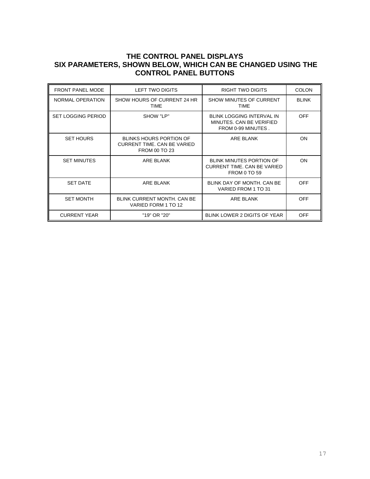#### **THE CONTROL PANEL DISPLAYS SIX PARAMETERS, SHOWN BELOW, WHICH CAN BE CHANGED USING THE CONTROL PANEL BUTTONS**

| <b>FRONT PANEL MODE</b>   | LEFT TWO DIGITS                                                                       | RIGHT TWO DIGITS                                                                   | <b>COLON</b> |
|---------------------------|---------------------------------------------------------------------------------------|------------------------------------------------------------------------------------|--------------|
| NORMAL OPERATION          | SHOW HOURS OF CURRENT 24 HR<br><b>TIME</b>                                            | SHOW MINUTES OF CURRENT<br><b>TIME</b>                                             | <b>BLINK</b> |
| <b>SET LOGGING PERIOD</b> | SHOW "LP"                                                                             | <b>BLINK LOGGING INTERVAL IN</b><br>MINUTES, CAN BE VERIFIED<br>FROM 0-99 MINUTES. | <b>OFF</b>   |
| <b>SET HOURS</b>          | <b>BLINKS HOURS PORTION OF</b><br><b>CURRENT TIME, CAN BE VARIED</b><br>FROM 00 TO 23 | ARE BLANK                                                                          | ON           |
| <b>SET MINUTES</b>        | ARE BLANK                                                                             | <b>BLINK MINUTES PORTION OF</b><br>CURRENT TIME, CAN BE VARIED<br>FROM 0 TO 59     | ON.          |
| <b>SET DATE</b>           | ARE BLANK                                                                             | BLINK DAY OF MONTH, CAN BE<br>VARIED FROM 1 TO 31                                  | <b>OFF</b>   |
| <b>SET MONTH</b>          | <b>BLINK CURRENT MONTH, CAN BE</b><br>VARIED FORM 1 TO 12                             | <b>ARE BLANK</b>                                                                   | <b>OFF</b>   |
| <b>CURRENT YEAR</b>       | "19" OR "20"                                                                          | BLINK LOWER 2 DIGITS OF YEAR                                                       | OFF          |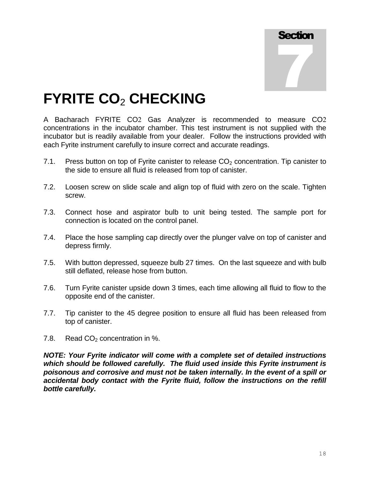![](_page_17_Picture_0.jpeg)

### **FYRITE CO**<sup>2</sup> **CHECKING**

A Bacharach FYRITE CO2 Gas Analyzer is recommended to measure CO2 concentrations in the incubator chamber. This test instrument is not supplied with the incubator but is readily available from your dealer. Follow the instructions provided with each Fyrite instrument carefully to insure correct and accurate readings.

- 7.1. Press button on top of Fyrite canister to release  $CO<sub>2</sub>$  concentration. Tip canister to the side to ensure all fluid is released from top of canister.
- 7.2. Loosen screw on slide scale and align top of fluid with zero on the scale. Tighten screw.
- 7.3. Connect hose and aspirator bulb to unit being tested. The sample port for connection is located on the control panel.
- 7.4. Place the hose sampling cap directly over the plunger valve on top of canister and depress firmly.
- 7.5. With button depressed, squeeze bulb 27 times. On the last squeeze and with bulb still deflated, release hose from button.
- 7.6. Turn Fyrite canister upside down 3 times, each time allowing all fluid to flow to the opposite end of the canister.
- 7.7. Tip canister to the 45 degree position to ensure all fluid has been released from top of canister.
- 7.8. Read  $CO<sub>2</sub>$  concentration in %.

*NOTE: Your Fyrite indicator will come with a complete set of detailed instructions which should be followed carefully. The fluid used inside this Fyrite instrument is poisonous and corrosive and must not be taken internally. In the event of a spill or accidental body contact with the Fyrite fluid, follow the instructions on the refill bottle carefully.*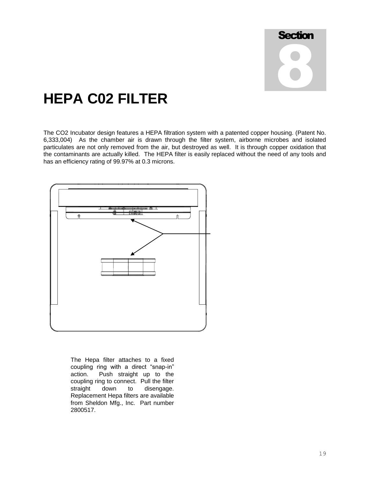![](_page_18_Figure_0.jpeg)

### **HEPA C02 FILTER**

The CO2 Incubator design features a HEPA filtration system with a patented copper housing. (Patent No. 6,333,004) As the chamber air is drawn through the filter system, airborne microbes and isolated particulates are not only removed from the air, but destroyed as well. It is through copper oxidation that the contaminants are actually killed. The HEPA filter is easily replaced without the need of any tools and has an efficiency rating of 99.97% at 0.3 microns.

![](_page_18_Figure_3.jpeg)

The Hepa filter attaches to a fixed coupling ring with a direct "snap-in" action. Push straight up to the coupling ring to connect. Pull the filter straight down to disengage. Replacement Hepa filters are available from Sheldon Mfg., Inc. Part number 2800517.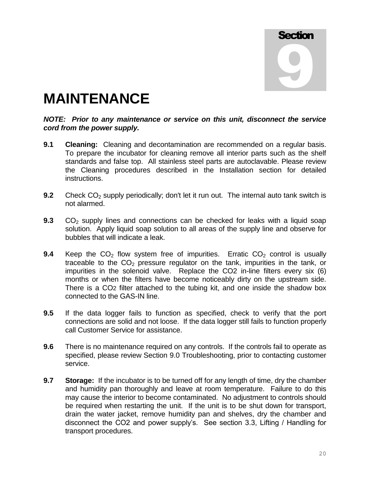## **Section** 9

### **MAINTENANCE**

#### *NOTE: Prior to any maintenance or service on this unit, disconnect the service cord from the power supply.*

- **9.1 Cleaning:** Cleaning and decontamination are recommended on a regular basis. To prepare the incubator for cleaning remove all interior parts such as the shelf standards and false top. All stainless steel parts are autoclavable. Please review the Cleaning procedures described in the Installation section for detailed instructions.
- **9.2** Check CO<sub>2</sub> supply periodically; don't let it run out. The internal auto tank switch is not alarmed.
- **9.3** CO<sub>2</sub> supply lines and connections can be checked for leaks with a liquid soap solution. Apply liquid soap solution to all areas of the supply line and observe for bubbles that will indicate a leak.
- **9.4** Keep the  $CO<sub>2</sub>$  flow system free of impurities. Erratic  $CO<sub>2</sub>$  control is usually traceable to the  $CO<sub>2</sub>$  pressure regulator on the tank, impurities in the tank, or impurities in the solenoid valve. Replace the CO2 in-line filters every six (6) months or when the filters have become noticeably dirty on the upstream side. There is a CO2 filter attached to the tubing kit, and one inside the shadow box connected to the GAS-IN line.
- **9.5** If the data logger fails to function as specified, check to verify that the port connections are solid and not loose. If the data logger still fails to function properly call Customer Service for assistance.
- **9.6** There is no maintenance required on any controls. If the controls fail to operate as specified, please review Section 9.0 Troubleshooting, prior to contacting customer service.
- **9.7 Storage:**If the incubator is to be turned off for any length of time, dry the chamber and humidity pan thoroughly and leave at room temperature. Failure to do this may cause the interior to become contaminated. No adjustment to controls should be required when restarting the unit. If the unit is to be shut down for transport, drain the water jacket, remove humidity pan and shelves, dry the chamber and disconnect the CO2 and power supply's. See section 3.3, Lifting / Handling for transport procedures.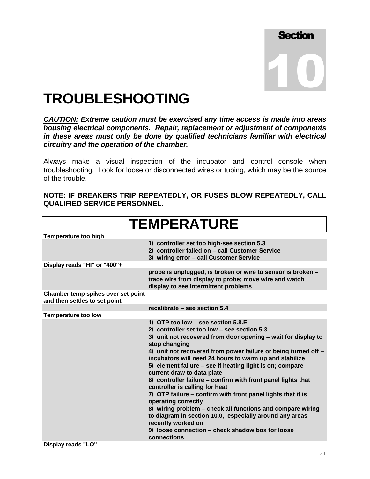![](_page_20_Figure_0.jpeg)

### **TROUBLESHOOTING**

*CAUTION: Extreme caution must be exercised any time access is made into areas housing electrical components. Repair, replacement or adjustment of components in these areas must only be done by qualified technicians familiar with electrical circuitry and the operation of the chamber.*

Always make a visual inspection of the incubator and control console when troubleshooting. Look for loose or disconnected wires or tubing, which may be the source of the trouble.

**NOTE: IF BREAKERS TRIP REPEATEDLY, OR FUSES BLOW REPEATEDLY, CALL QUALIFIED SERVICE PERSONNEL.**

| <b>TEMPERATURE</b>                                                  |                                                                                                                                                                                                                                                                                                                                                                                                                                                                                                                                                                                                                                                                                                                                                                                                       |  |
|---------------------------------------------------------------------|-------------------------------------------------------------------------------------------------------------------------------------------------------------------------------------------------------------------------------------------------------------------------------------------------------------------------------------------------------------------------------------------------------------------------------------------------------------------------------------------------------------------------------------------------------------------------------------------------------------------------------------------------------------------------------------------------------------------------------------------------------------------------------------------------------|--|
| <b>Temperature too high</b>                                         |                                                                                                                                                                                                                                                                                                                                                                                                                                                                                                                                                                                                                                                                                                                                                                                                       |  |
|                                                                     | 1/ controller set too high-see section 5.3<br>2/ controller failed on - call Customer Service<br>3/ wiring error - call Customer Service                                                                                                                                                                                                                                                                                                                                                                                                                                                                                                                                                                                                                                                              |  |
| Display reads "HI" or "400"+                                        |                                                                                                                                                                                                                                                                                                                                                                                                                                                                                                                                                                                                                                                                                                                                                                                                       |  |
|                                                                     | probe is unplugged, is broken or wire to sensor is broken -<br>trace wire from display to probe; move wire and watch<br>display to see intermittent problems                                                                                                                                                                                                                                                                                                                                                                                                                                                                                                                                                                                                                                          |  |
| Chamber temp spikes over set point<br>and then settles to set point |                                                                                                                                                                                                                                                                                                                                                                                                                                                                                                                                                                                                                                                                                                                                                                                                       |  |
|                                                                     | recalibrate - see section 5.4                                                                                                                                                                                                                                                                                                                                                                                                                                                                                                                                                                                                                                                                                                                                                                         |  |
| <b>Temperature too low</b>                                          |                                                                                                                                                                                                                                                                                                                                                                                                                                                                                                                                                                                                                                                                                                                                                                                                       |  |
| .                                                                   | 1/ OTP too low – see section 5.8.E<br>2/ controller set too low $-$ see section 5.3<br>3/ unit not recovered from door opening - wait for display to<br>stop changing<br>4/ unit not recovered from power failure or being turned off -<br>incubators will need 24 hours to warm up and stabilize<br>5/ element failure – see if heating light is on; compare<br>current draw to data plate<br>6/ controller failure - confirm with front panel lights that<br>controller is calling for heat<br>7/ OTP failure - confirm with front panel lights that it is<br>operating correctly<br>8/ wiring problem - check all functions and compare wiring<br>to diagram in section 10.0, especially around any areas<br>recently worked on<br>9/ loose connection – check shadow box for loose<br>connections |  |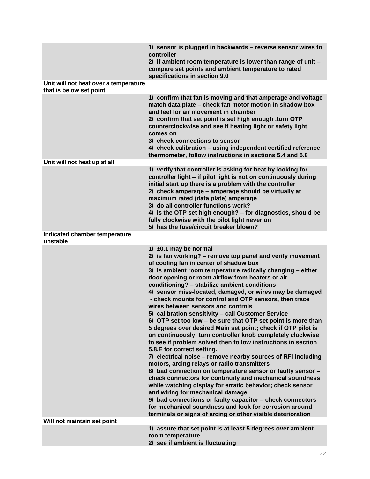|                                                                  | 1/ sensor is plugged in backwards - reverse sensor wires to<br>controller<br>2/ if ambient room temperature is lower than range of unit -<br>compare set points and ambient temperature to rated<br>specifications in section 9.0                                                                                                                                                                                                                                                                                                                                                                                                                                                                                                                                                                                                                                                                                                                                                                                                                                                                                                                                                                                                                                                                                                                 |
|------------------------------------------------------------------|---------------------------------------------------------------------------------------------------------------------------------------------------------------------------------------------------------------------------------------------------------------------------------------------------------------------------------------------------------------------------------------------------------------------------------------------------------------------------------------------------------------------------------------------------------------------------------------------------------------------------------------------------------------------------------------------------------------------------------------------------------------------------------------------------------------------------------------------------------------------------------------------------------------------------------------------------------------------------------------------------------------------------------------------------------------------------------------------------------------------------------------------------------------------------------------------------------------------------------------------------------------------------------------------------------------------------------------------------|
| Unit will not heat over a temperature<br>that is below set point |                                                                                                                                                                                                                                                                                                                                                                                                                                                                                                                                                                                                                                                                                                                                                                                                                                                                                                                                                                                                                                                                                                                                                                                                                                                                                                                                                   |
|                                                                  | 1/ confirm that fan is moving and that amperage and voltage<br>match data plate - check fan motor motion in shadow box<br>and feel for air movement in chamber<br>2/ confirm that set point is set high enough , turn OTP<br>counterclockwise and see if heating light or safety light<br>comes on<br>3/ check connections to sensor<br>4/ check calibration - using independent certified reference<br>thermometer, follow instructions in sections 5.4 and 5.8                                                                                                                                                                                                                                                                                                                                                                                                                                                                                                                                                                                                                                                                                                                                                                                                                                                                                  |
| Unit will not heat up at all                                     |                                                                                                                                                                                                                                                                                                                                                                                                                                                                                                                                                                                                                                                                                                                                                                                                                                                                                                                                                                                                                                                                                                                                                                                                                                                                                                                                                   |
|                                                                  | 1/ verify that controller is asking for heat by looking for<br>controller light - if pilot light is not on continuously during<br>initial start up there is a problem with the controller<br>2/ check amperage - amperage should be virtually at<br>maximum rated (data plate) amperage<br>3/ do all controller functions work?<br>4/ is the OTP set high enough? - for diagnostics, should be<br>fully clockwise with the pilot light never on<br>5/ has the fuse/circuit breaker blown?                                                                                                                                                                                                                                                                                                                                                                                                                                                                                                                                                                                                                                                                                                                                                                                                                                                         |
| Indicated chamber temperature<br>unstable                        |                                                                                                                                                                                                                                                                                                                                                                                                                                                                                                                                                                                                                                                                                                                                                                                                                                                                                                                                                                                                                                                                                                                                                                                                                                                                                                                                                   |
|                                                                  | 1/ $\pm$ 0.1 may be normal<br>2/ is fan working? - remove top panel and verify movement<br>of cooling fan in center of shadow box<br>3/ is ambient room temperature radically changing - either<br>door opening or room airflow from heaters or air<br>conditioning? - stabilize ambient conditions<br>4/ sensor miss-located, damaged, or wires may be damaged<br>- check mounts for control and OTP sensors, then trace<br>wires between sensors and controls<br>5/ calibration sensitivity - call Customer Service<br>6/ OTP set too low - be sure that OTP set point is more than<br>5 degrees over desired Main set point; check if OTP pilot is<br>on continuously; turn controller knob completely clockwise<br>to see if problem solved then follow instructions in section<br>5.8.E for correct setting.<br>7/ electrical noise - remove nearby sources of RFI including<br>motors, arcing relays or radio transmitters<br>8/ bad connection on temperature sensor or faulty sensor -<br>check connectors for continuity and mechanical soundness<br>while watching display for erratic behavior; check sensor<br>and wiring for mechanical damage<br>9/ bad connections or faulty capacitor - check connectors<br>for mechanical soundness and look for corrosion around<br>terminals or signs of arcing or other visible deterioration |
| Will not maintain set point                                      |                                                                                                                                                                                                                                                                                                                                                                                                                                                                                                                                                                                                                                                                                                                                                                                                                                                                                                                                                                                                                                                                                                                                                                                                                                                                                                                                                   |
|                                                                  | 1/ assure that set point is at least 5 degrees over ambient<br>room temperature<br>2/ see if ambient is fluctuating                                                                                                                                                                                                                                                                                                                                                                                                                                                                                                                                                                                                                                                                                                                                                                                                                                                                                                                                                                                                                                                                                                                                                                                                                               |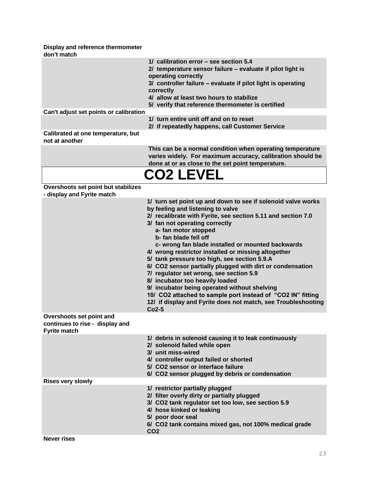**Display and reference thermometer don't match**

| 1/ calibration error - see section 5.4<br>2/ temperature sensor failure - evaluate if pilot light is<br>operating correctly<br>3/ controller failure - evaluate if pilot light is operating<br>correctly<br>4/ allow at least two hours to stabilize<br>5/ verify that reference thermometer is certified<br>Can't adjust set points or calibration<br>1/ turn entire unit off and on to reset<br>2/ if repeatedly happens, call Customer Service<br>Calibrated at one temperature, but<br>not at another<br>This can be a normal condition when operating temperature<br>varies widely. For maximum accuracy, calibration should be<br>done at or as close to the set point temperature.<br><b>CO2 LEVEL</b><br>Overshoots set point but stabilizes<br>- display and Fyrite match<br>1/ turn set point up and down to see if solenoid valve works<br>by feeling and listening to valve<br>2/ recalibrate with Fyrite, see section 5.11 and section 7.0<br>3/ fan not operating correctly<br>a- fan motor stopped<br>b- fan blade fell off<br>c- wrong fan blade installed or mounted backwards<br>4/ wrong restrictor installed or missing altogether<br>5/ tank pressure too high, see section 5.9.A<br>6/ CO2 sensor partially plugged with dirt or condensation<br>7/ regulator set wrong, see section 5.9<br>8/ incubator too heavily loaded<br>9/ incubator being operated without shelving<br>10/ CO2 attached to sample port instead of "CO2 IN" fitting<br>12/ if display and Fyrite does not match, see Troubleshooting<br>$Co2-5$<br>Overshoots set point and<br>continues to rise - display and<br><b>Fyrite match</b><br>1/ debris in solenoid causing it to leak continuously<br>2/ solenoid failed while open<br>3/ unit miss-wired<br>4/ controller output failed or shorted<br>5/ CO2 sensor or interface failure<br>6/ CO2 sensor plugged by debris or condensation<br><b>Rises very slowly</b><br>1/ restrictor partially plugged<br>2/ filter overly dirty or partially plugged<br>3/ CO2 tank regulator set too low, see section 5.9<br>4/ hose kinked or leaking<br>5/ poor door seal<br>6/ CO2 tank contains mixed gas, not 100% medical grade<br>CO <sub>2</sub> | uvii uilauul |  |
|------------------------------------------------------------------------------------------------------------------------------------------------------------------------------------------------------------------------------------------------------------------------------------------------------------------------------------------------------------------------------------------------------------------------------------------------------------------------------------------------------------------------------------------------------------------------------------------------------------------------------------------------------------------------------------------------------------------------------------------------------------------------------------------------------------------------------------------------------------------------------------------------------------------------------------------------------------------------------------------------------------------------------------------------------------------------------------------------------------------------------------------------------------------------------------------------------------------------------------------------------------------------------------------------------------------------------------------------------------------------------------------------------------------------------------------------------------------------------------------------------------------------------------------------------------------------------------------------------------------------------------------------------------------------------------------------------------------------------------------------------------------------------------------------------------------------------------------------------------------------------------------------------------------------------------------------------------------------------------------------------------------------------------------------------------------------------------------------------------------------------------------------------------------------------------------|--------------|--|
|                                                                                                                                                                                                                                                                                                                                                                                                                                                                                                                                                                                                                                                                                                                                                                                                                                                                                                                                                                                                                                                                                                                                                                                                                                                                                                                                                                                                                                                                                                                                                                                                                                                                                                                                                                                                                                                                                                                                                                                                                                                                                                                                                                                          |              |  |
|                                                                                                                                                                                                                                                                                                                                                                                                                                                                                                                                                                                                                                                                                                                                                                                                                                                                                                                                                                                                                                                                                                                                                                                                                                                                                                                                                                                                                                                                                                                                                                                                                                                                                                                                                                                                                                                                                                                                                                                                                                                                                                                                                                                          |              |  |
|                                                                                                                                                                                                                                                                                                                                                                                                                                                                                                                                                                                                                                                                                                                                                                                                                                                                                                                                                                                                                                                                                                                                                                                                                                                                                                                                                                                                                                                                                                                                                                                                                                                                                                                                                                                                                                                                                                                                                                                                                                                                                                                                                                                          |              |  |
|                                                                                                                                                                                                                                                                                                                                                                                                                                                                                                                                                                                                                                                                                                                                                                                                                                                                                                                                                                                                                                                                                                                                                                                                                                                                                                                                                                                                                                                                                                                                                                                                                                                                                                                                                                                                                                                                                                                                                                                                                                                                                                                                                                                          |              |  |
|                                                                                                                                                                                                                                                                                                                                                                                                                                                                                                                                                                                                                                                                                                                                                                                                                                                                                                                                                                                                                                                                                                                                                                                                                                                                                                                                                                                                                                                                                                                                                                                                                                                                                                                                                                                                                                                                                                                                                                                                                                                                                                                                                                                          |              |  |
|                                                                                                                                                                                                                                                                                                                                                                                                                                                                                                                                                                                                                                                                                                                                                                                                                                                                                                                                                                                                                                                                                                                                                                                                                                                                                                                                                                                                                                                                                                                                                                                                                                                                                                                                                                                                                                                                                                                                                                                                                                                                                                                                                                                          |              |  |
|                                                                                                                                                                                                                                                                                                                                                                                                                                                                                                                                                                                                                                                                                                                                                                                                                                                                                                                                                                                                                                                                                                                                                                                                                                                                                                                                                                                                                                                                                                                                                                                                                                                                                                                                                                                                                                                                                                                                                                                                                                                                                                                                                                                          |              |  |
|                                                                                                                                                                                                                                                                                                                                                                                                                                                                                                                                                                                                                                                                                                                                                                                                                                                                                                                                                                                                                                                                                                                                                                                                                                                                                                                                                                                                                                                                                                                                                                                                                                                                                                                                                                                                                                                                                                                                                                                                                                                                                                                                                                                          |              |  |
|                                                                                                                                                                                                                                                                                                                                                                                                                                                                                                                                                                                                                                                                                                                                                                                                                                                                                                                                                                                                                                                                                                                                                                                                                                                                                                                                                                                                                                                                                                                                                                                                                                                                                                                                                                                                                                                                                                                                                                                                                                                                                                                                                                                          |              |  |
|                                                                                                                                                                                                                                                                                                                                                                                                                                                                                                                                                                                                                                                                                                                                                                                                                                                                                                                                                                                                                                                                                                                                                                                                                                                                                                                                                                                                                                                                                                                                                                                                                                                                                                                                                                                                                                                                                                                                                                                                                                                                                                                                                                                          |              |  |
|                                                                                                                                                                                                                                                                                                                                                                                                                                                                                                                                                                                                                                                                                                                                                                                                                                                                                                                                                                                                                                                                                                                                                                                                                                                                                                                                                                                                                                                                                                                                                                                                                                                                                                                                                                                                                                                                                                                                                                                                                                                                                                                                                                                          |              |  |
|                                                                                                                                                                                                                                                                                                                                                                                                                                                                                                                                                                                                                                                                                                                                                                                                                                                                                                                                                                                                                                                                                                                                                                                                                                                                                                                                                                                                                                                                                                                                                                                                                                                                                                                                                                                                                                                                                                                                                                                                                                                                                                                                                                                          |              |  |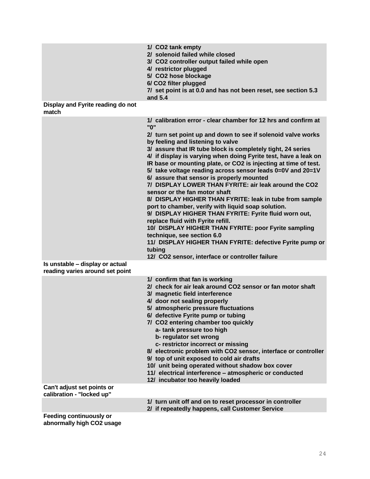|                                                                    | 1/ CO2 tank empty<br>2/ solenoid failed while closed<br>3/ CO2 controller output failed while open<br>4/ restrictor plugged<br>5/ CO2 hose blockage<br>6/ CO2 filter plugged<br>7/ set point is at 0.0 and has not been reset, see section 5.3<br>and 5.4                                                                                                                                                                                                                                                                                                                                                                                                                                                                                                                                                                                                                                                                                                                                                          |
|--------------------------------------------------------------------|--------------------------------------------------------------------------------------------------------------------------------------------------------------------------------------------------------------------------------------------------------------------------------------------------------------------------------------------------------------------------------------------------------------------------------------------------------------------------------------------------------------------------------------------------------------------------------------------------------------------------------------------------------------------------------------------------------------------------------------------------------------------------------------------------------------------------------------------------------------------------------------------------------------------------------------------------------------------------------------------------------------------|
| Display and Fyrite reading do not<br>match                         |                                                                                                                                                                                                                                                                                                                                                                                                                                                                                                                                                                                                                                                                                                                                                                                                                                                                                                                                                                                                                    |
|                                                                    | 1/ calibration error - clear chamber for 12 hrs and confirm at<br>"0"<br>2/ turn set point up and down to see if solenoid valve works<br>by feeling and listening to valve<br>3/ assure that IR tube block is completely tight, 24 series<br>4/ if display is varying when doing Fyrite test, have a leak on<br>IR base or mounting plate, or CO2 is injecting at time of test.<br>5/ take voltage reading across sensor leads 0=0V and 20=1V<br>6/ assure that sensor is properly mounted<br>7/ DISPLAY LOWER THAN FYRITE: air leak around the CO2<br>sensor or the fan motor shaft<br>8/ DISPLAY HIGHER THAN FYRITE: leak in tube from sample<br>port to chamber, verify with liquid soap solution.<br>9/ DISPLAY HIGHER THAN FYRITE: Fyrite fluid worn out,<br>replace fluid with Fyrite refill.<br>10/ DISPLAY HIGHER THAN FYRITE: poor Fyrite sampling<br>technique, see section 6.0<br>11/ DISPLAY HIGHER THAN FYRITE: defective Fyrite pump or<br>tubing<br>12/ CO2 sensor, interface or controller failure |
| Is unstable - display or actual<br>reading varies around set point |                                                                                                                                                                                                                                                                                                                                                                                                                                                                                                                                                                                                                                                                                                                                                                                                                                                                                                                                                                                                                    |
|                                                                    | 1/ confirm that fan is working<br>2/ check for air leak around CO2 sensor or fan motor shaft<br>3/ magnetic field interference<br>4/ door not sealing properly<br>5/ atmospheric pressure fluctuations<br>6/ defective Fyrite pump or tubing<br>7/ CO2 entering chamber too quickly<br>a- tank pressure too high<br>b- regulator set wrong<br>c- restrictor incorrect or missing<br>8/ electronic problem with CO2 sensor, interface or controller<br>9/ top of unit exposed to cold air drafts<br>10/ unit being operated without shadow box cover<br>11/ electrical interference - atmospheric or conducted<br>12/ incubator too heavily loaded                                                                                                                                                                                                                                                                                                                                                                  |
| Can't adjust set points or<br>calibration - "locked up"            |                                                                                                                                                                                                                                                                                                                                                                                                                                                                                                                                                                                                                                                                                                                                                                                                                                                                                                                                                                                                                    |
|                                                                    | 1/ turn unit off and on to reset processor in controller<br>2/ if repeatedly happens, call Customer Service                                                                                                                                                                                                                                                                                                                                                                                                                                                                                                                                                                                                                                                                                                                                                                                                                                                                                                        |
| <b>Feeding continuously or</b>                                     |                                                                                                                                                                                                                                                                                                                                                                                                                                                                                                                                                                                                                                                                                                                                                                                                                                                                                                                                                                                                                    |

**abnormally high CO2 usage**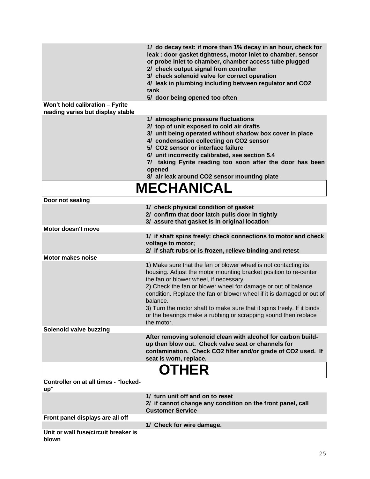|                                                                      | 1/ do decay test: if more than 1% decay in an hour, check for<br>leak : door gasket tightness, motor inlet to chamber, sensor<br>or probe inlet to chamber, chamber access tube plugged<br>2/ check output signal from controller<br>3/ check solenoid valve for correct operation<br>4/ leak in plumbing including between regulator and CO2<br>tank<br>5/ door being opened too often                                                                                                       |
|----------------------------------------------------------------------|-----------------------------------------------------------------------------------------------------------------------------------------------------------------------------------------------------------------------------------------------------------------------------------------------------------------------------------------------------------------------------------------------------------------------------------------------------------------------------------------------|
| Won't hold calibration - Fyrite<br>reading varies but display stable |                                                                                                                                                                                                                                                                                                                                                                                                                                                                                               |
|                                                                      | 1/ atmospheric pressure fluctuations<br>2/ top of unit exposed to cold air drafts<br>3/ unit being operated without shadow box cover in place<br>4/ condensation collecting on CO2 sensor<br>5/ CO2 sensor or interface failure<br>6/ unit incorrectly calibrated, see section 5.4<br>7/ taking Fyrite reading too soon after the door has been<br>opened<br>8/ air leak around CO2 sensor mounting plate                                                                                     |
|                                                                      | <b>MECHANICAL</b>                                                                                                                                                                                                                                                                                                                                                                                                                                                                             |
| Door not sealing                                                     |                                                                                                                                                                                                                                                                                                                                                                                                                                                                                               |
|                                                                      | 1/ check physical condition of gasket<br>2/ confirm that door latch pulls door in tightly<br>3/ assure that gasket is in original location                                                                                                                                                                                                                                                                                                                                                    |
| Motor doesn't move                                                   |                                                                                                                                                                                                                                                                                                                                                                                                                                                                                               |
|                                                                      | 1/ if shaft spins freely: check connections to motor and check<br>voltage to motor;<br>2/ if shaft rubs or is frozen, relieve binding and retest                                                                                                                                                                                                                                                                                                                                              |
| <b>Motor makes noise</b>                                             |                                                                                                                                                                                                                                                                                                                                                                                                                                                                                               |
|                                                                      | 1) Make sure that the fan or blower wheel is not contacting its<br>housing. Adjust the motor mounting bracket position to re-center<br>the fan or blower wheel, if necessary.<br>2) Check the fan or blower wheel for damage or out of balance<br>condition. Replace the fan or blower wheel if it is damaged or out of<br>balance.<br>3) Turn the motor shaft to make sure that it spins freely. If it binds<br>or the bearings make a rubbing or scrapping sound then replace<br>the motor. |
| Solenoid valve buzzing                                               |                                                                                                                                                                                                                                                                                                                                                                                                                                                                                               |
|                                                                      | After removing solenoid clean with alcohol for carbon build-<br>up then blow out. Check valve seat or channels for<br>contamination. Check CO2 filter and/or grade of CO2 used. If<br>seat is worn, replace.                                                                                                                                                                                                                                                                                  |
|                                                                      | <b>OTHER</b>                                                                                                                                                                                                                                                                                                                                                                                                                                                                                  |
| <b>Controller on at all times - "locked-</b><br>up"                  |                                                                                                                                                                                                                                                                                                                                                                                                                                                                                               |
|                                                                      | 1/ turn unit off and on to reset<br>2/ if cannot change any condition on the front panel, call<br><b>Customer Service</b>                                                                                                                                                                                                                                                                                                                                                                     |
| Front panel displays are all off                                     | 1/ Check for wire damage.                                                                                                                                                                                                                                                                                                                                                                                                                                                                     |
| Unit or wall fuse/circuit breaker is<br>blown                        |                                                                                                                                                                                                                                                                                                                                                                                                                                                                                               |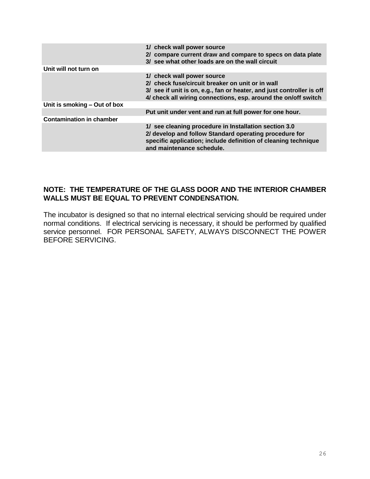|                                 | 1/ check wall power source<br>2/ compare current draw and compare to specs on data plate<br>3/ see what other loads are on the wall circuit                                                                               |
|---------------------------------|---------------------------------------------------------------------------------------------------------------------------------------------------------------------------------------------------------------------------|
| Unit will not turn on           |                                                                                                                                                                                                                           |
|                                 | 1/ check wall power source<br>2/ check fuse/circuit breaker on unit or in wall<br>3/ see if unit is on, e.g., fan or heater, and just controller is off<br>4/ check all wiring connections, esp. around the on/off switch |
| Unit is smoking – Out of box    |                                                                                                                                                                                                                           |
|                                 | Put unit under vent and run at full power for one hour.                                                                                                                                                                   |
| <b>Contamination in chamber</b> |                                                                                                                                                                                                                           |
|                                 | 1/ see cleaning procedure in Installation section 3.0<br>2/ develop and follow Standard operating procedure for<br>specific application; include definition of cleaning technique<br>and maintenance schedule.            |

#### **NOTE: THE TEMPERATURE OF THE GLASS DOOR AND THE INTERIOR CHAMBER WALLS MUST BE EQUAL TO PREVENT CONDENSATION.**

The incubator is designed so that no internal electrical servicing should be required under normal conditions. If electrical servicing is necessary, it should be performed by qualified service personnel. FOR PERSONAL SAFETY, ALWAYS DISCONNECT THE POWER BEFORE SERVICING.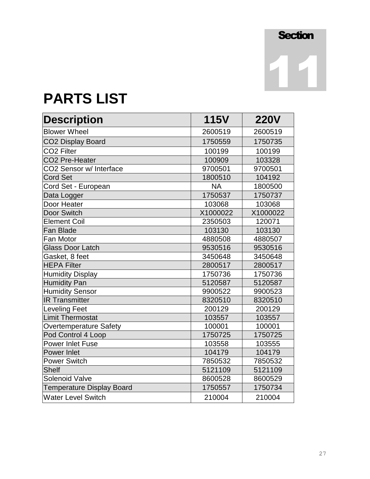11

**PARTS LIST**

| <b>Description</b>               | <b>115V</b> | <b>220V</b> |
|----------------------------------|-------------|-------------|
| <b>Blower Wheel</b>              | 2600519     | 2600519     |
| <b>CO2 Display Board</b>         | 1750559     | 1750735     |
| <b>CO2 Filter</b>                | 100199      | 100199      |
| CO2 Pre-Heater                   | 100909      | 103328      |
| CO2 Sensor w/ Interface          | 9700501     | 9700501     |
| <b>Cord Set</b>                  | 1800510     | 104192      |
| Cord Set - European              | <b>NA</b>   | 1800500     |
| Data Logger                      | 1750537     | 1750737     |
| Door Heater                      | 103068      | 103068      |
| <b>Door Switch</b>               | X1000022    | X1000022    |
| <b>Element Coil</b>              | 2350503     | 120071      |
| <b>Fan Blade</b>                 | 103130      | 103130      |
| Fan Motor                        | 4880508     | 4880507     |
| <b>Glass Door Latch</b>          | 9530516     | 9530516     |
| Gasket, 8 feet                   | 3450648     | 3450648     |
| <b>HEPA Filter</b>               | 2800517     | 2800517     |
| <b>Humidity Display</b>          | 1750736     | 1750736     |
| <b>Humidity Pan</b>              | 5120587     | 5120587     |
| <b>Humidity Sensor</b>           | 9900522     | 9900523     |
| <b>IR Transmitter</b>            | 8320510     | 8320510     |
| <b>Leveling Feet</b>             | 200129      | 200129      |
| <b>Limit Thermostat</b>          | 103557      | 103557      |
| <b>Overtemperature Safety</b>    | 100001      | 100001      |
| Pod Control 4 Loop               | 1750725     | 1750725     |
| <b>Power Inlet Fuse</b>          | 103558      | 103555      |
| <b>Power Inlet</b>               | 104179      | 104179      |
| <b>Power Switch</b>              | 7850532     | 7850532     |
| <b>Shelf</b>                     | 5121109     | 5121109     |
| <b>Solenoid Valve</b>            | 8600528     | 8600529     |
| <b>Temperature Display Board</b> | 1750557     | 1750734     |
| <b>Water Level Switch</b>        | 210004      | 210004      |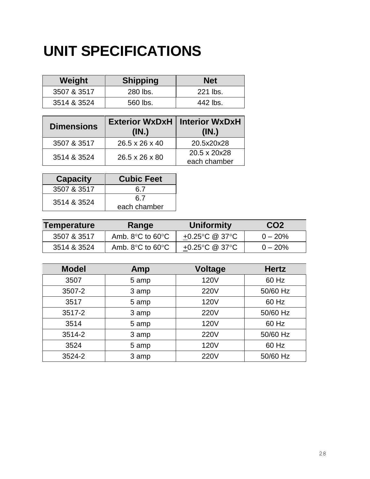### **UNIT SPECIFICATIONS**

| Weight      | <b>Shipping</b> | <b>Net</b> |
|-------------|-----------------|------------|
| 3507 & 3517 | 280 lbs.        | 221 lbs.   |
| 3514 & 3524 | 560 lbs.        | 442 lbs.   |

| <b>Dimensions</b> | Exterior WxDxH   Interior WxDxH<br>(IN.) | (IN.)                        |
|-------------------|------------------------------------------|------------------------------|
| 3507 & 3517       | 26.5 x 26 x 40                           | 20.5x20x28                   |
| 3514 & 3524       | 26.5 x 26 x 80                           | 20.5 x 20x28<br>each chamber |

| <b>Capacity</b> | <b>Cubic Feet</b> |  |
|-----------------|-------------------|--|
| 3507 & 3517     | 6 7               |  |
| 3514 & 3524     | 6.7               |  |
|                 | each chamber      |  |

| Temperature | Range                                | Uniformity     | CO <sub>2</sub> |
|-------------|--------------------------------------|----------------|-----------------|
| 3507 & 3517 | Amb. $8^{\circ}$ C to $60^{\circ}$ C | +0.25°C @ 37°C | $0 - 20\%$      |
| 3514 & 3524 | Amb. $8^{\circ}$ C to $60^{\circ}$ C | +0.25°C @ 37°C | $0 - 20%$       |

| <b>Model</b> | Amp   | <b>Voltage</b> | <b>Hertz</b> |
|--------------|-------|----------------|--------------|
| 3507         | 5 amp | <b>120V</b>    | 60 Hz        |
| 3507-2       | 3 amp | <b>220V</b>    | 50/60 Hz     |
| 3517         | 5 amp | 120V           | 60 Hz        |
| 3517-2       | 3 amp | <b>220V</b>    | 50/60 Hz     |
| 3514         | 5 amp | 120V           | 60 Hz        |
| 3514-2       | 3 amp | <b>220V</b>    | 50/60 Hz     |
| 3524         | 5 amp | <b>120V</b>    | 60 Hz        |
| 3524-2       | 3 amp | <b>220V</b>    | 50/60 Hz     |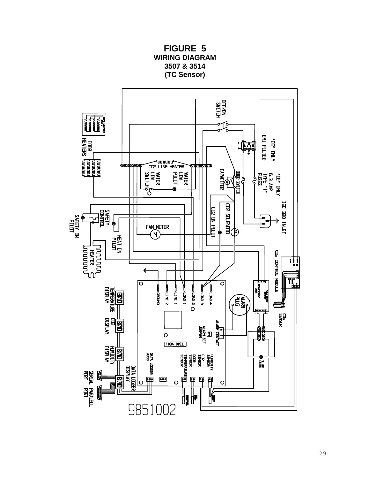![](_page_28_Figure_0.jpeg)

**FIGURE 5 WIRING DIAGRAM**